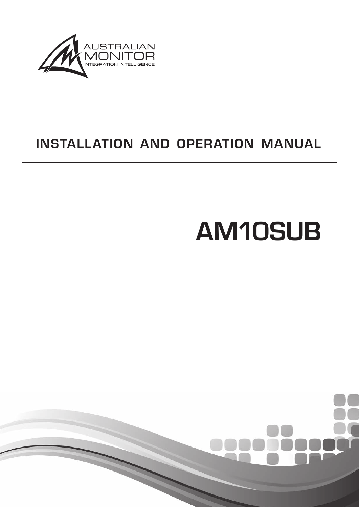

# INSTALLATION AND OPERATION MANUAL

# AM10SUB

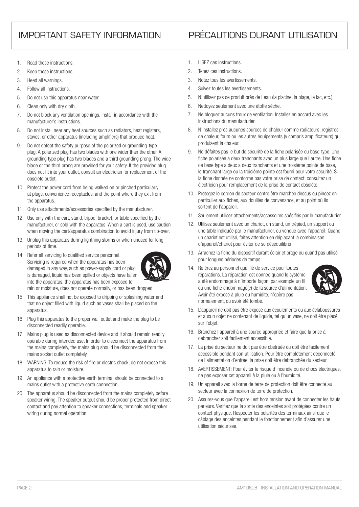## IMPORTANT SAFETY INFORMATION PRÉCAUTIONS DURANT UTILISATION

- 1. Read these instructions.
- 2. Keep these instructions.
- 3. Heed all warnings.
- 4. Follow all instructions.
- 5. Do not use this apparatus near water.
- 6. Clean only with dry cloth.
- 7. Do not block any ventilation openings. Install in accordance with the manufacturer's instructions.
- 8. Do not install near any heat sources such as radiators, heat registers, stoves, or other apparatus (including amplifiers) that produce heat.
- 9. Do not defeat the safety purpose of the polarized or grounding-type plug. A polarized plug has two blades with one wider than the other. A grounding type plug has two blades and a third grounding prong. The wide blade or the third prong are provided for your safety. If the provided plug does not fit into your outlet, consult an electrician for replacement of the obsolete outlet.
- 10. Protect the power cord from being walked on or pinched particularly at plugs, convenience receptacles, and the point where they exit from the apparatus.
- 11. Only use attachments/accessories specified by the manufacturer.
- 12. Use only with the cart, stand, tripod, bracket, or table specified by the manufacturer, or sold with the apparatus. When a cart is used, use caution when moving the cart/apparatus combination to avoid injury from tip-over.
- 13. Unplug this apparatus during lightning storms or when unused for long periods of time.
- 14. Refer all servicing to qualified service personnel. Servicing is required when the apparatus has been damaged in any way, such as power-supply cord or plug is damaged, liquid has been spilled or objects have fallen into the apparatus, the apparatus has been exposed to



rain or moisture, does not operate normally, or has been dropped.

- 15. This appliance shall not be exposed to dripping or splashing water and that no object filled with liquid such as vases shall be placed on the apparatus.
- 16. Plug this apparatus to the proper wall outlet and make the plug to be disconnected readily operable.
- 17. Mains plug is used as disconnected device and it should remain readily operable during intended use. In order to disconnect the apparatus from the mains completely, the mains plug should be disconnected from the mains socket outlet completely.
- 18. WARNING: To reduce the risk of fire or electric shock, do not expose this apparatus to rain or moisture.
- 19. An appliance with a protective earth terminal should be connected to a mains outlet with a protective earth connection.
- 20. The apparatus should be disconnected from the mains completely before speaker wiring. The speaker output should be proper protected from direct contact and pay attention to speaker connections, terminals and speaker wiring during normal operation.
- 1. LISEZ ces instructions.
- 2. Tenez ces instructions.
- 3. Notez tous les avertissements.
- 4. Suivez toutes les avertissements.
- 5. N'utilisez pas ce produit près de l'eau (la piscine, la plage, le lac, etc.).
- 6. Nettoyez seulement avec une étoffe sèche.
- 7. Ne bloquez aucuns troux de ventilation. Installez en accord avec les instructions du manufacturier.
- 8. N'installez près aucunes sources de chaleur comme radiateurs, registres de chaleur, fours ou les autres équipements (y compris amplificateurs) qui produisent la chaleur.
- 9. Ne défaites pas le but de sécurité de la fiche polarisée ou base-type. Une fiche polarisée a deux tranchants avec un plus large que l'autre. Une fiche de base type a deux a deux tranchants et une troisième pointe de base, le tranchant large ou la troisième pointe est fourni pour votre sécurité. Si la fiche donnée ne conforme pas votre prise de contact, consultez un électricien pour remplacement de la prise de contact obsolète.
- 10. Protegez le cordon de secteur contre être marchée dessus ou pincez en particulier aux fiches, aux douilles de convenance, et au point où ils sortent de l'appareil.
- 11. Seulement utilisez attachements/accessoires spécifiés par le manufacturier.
- 12. Utilisez seulement avec un chariot, un stand, un trépied, un support ou une table indiquée par le manufacturier, ou vendue avec l'appareil. Quand un chariot est utilisé, faites attention en déplaçant la combinaison d'appareil/chariot pour éviter de se déséquilibrer.
- 13. Arrachez la fiche du dispositif durant éclair et orage ou quand pas utilisé pour longues périodes de temps.
- 14. Référez au personnel qualifié de service pour toutes réparations. La réparation est donnée quand le système a été endommagé à n'importe façon, par exemple un fil ou une fiche endommagé(e) de la source d'alimentation. Avoir été exposé à pluie ou humidité, n'opère pas normalement, ou avoir été tombé.



- 15. L'appareil ne doit pas être exposé aux écoulements ou aux éclaboussures et aucun objet ne contenant de liquide, tel qu'un vase, ne doit être placé sur l'objet.
- 16. Branchez l'appareil à une source appropriée et faire que la prise à débrancher soit facilement accessible.
- 17. La prise du secteur ne doit pas être obstruée ou doit être facilement accessible pendant son utilisation. Pour être complètement déconnecté de l'alimentation d'entrée, la prise doit être débranchée du secteur.
- 18. AVERTISSEMENT: Pour éviter le risque d'incendie ou de chocs électriques, ne pas exposer cet appareil à la pluie ou à l'humidité.
- 19. Un appareil avec la borne de terre de protection doit être connecté au secteur avec la connexiion de terre de protection.
- 20. Assurez-vous que l'appareil est hors tension avant de connecter les hauts parleurs. Verifiez que la sortie des enceintes soit protégées contre un contact physique. Respecter les polarités des terminaux ainsi que le câblage des enceintes pendant le fonctionnement afin d'assurer une utilisation sécurisee.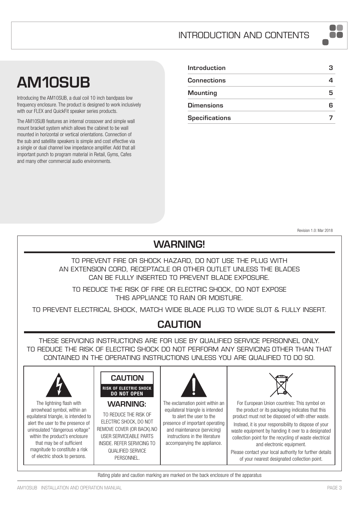# AM10SUB

Introducing the AM10SUB, a dual coil 10 inch bandpass low frequency enclosure. The product is designed to work inclusively with our FLEX and QuickFit speaker series products.

The AM10SUB features an internal crossover and simple wall mount bracket system which allows the cabinet to be wall mounted in horizontal or vertical orientations. Connection of the sub and satellite speakers is simple and cost effective via a single or dual channel low impedance amplifier. Add that all important punch to program material in Retail, Gyms, Cafes and many other commercial audio environments.

| Introduction          |  |
|-----------------------|--|
| <b>Connections</b>    |  |
| <b>Mounting</b>       |  |
| <b>Dimensions</b>     |  |
| <b>Specifications</b> |  |

Revision 1.0: Mar 2018

a a shekara

# WARNING!

TO PREVENT FIRE OR SHOCK HAZARD, DO NOT USE THE PLUG WITH AN EXTENSION CORD, RECEPTACLE OR OTHER OUTLET UNLESS THE BLADES CAN BE FULLY INSERTED TO PREVENT BLADE EXPOSURE.

TO REDUCE THE RISK OF FIRE OR ELECTRIC SHOCK, DO NOT EXPOSE THIS APPLIANCE TO RAIN OR MOISTURE.

TO PREVENT ELECTRICAL SHOCK, MATCH WIDE BLADE PLUG TO WIDE SLOT & FULLY INSERT.

# CAUTION

THESE SERVICING INSTRUCTIONS ARE FOR USE BY QUALIFIED SERVICE PERSONNEL ONLY. TO REDUCE THE RISK OF ELECTRIC SHOCK DO NOT PERFORM ANY SERVICING OTHER THAN THAT CONTAINED IN THE OPERATING INSTRUCTIONS UNLESS YOU ARE QUALIFIED TO DO SO.



Rating plate and caution marking are marked on the back enclosure of the apparatus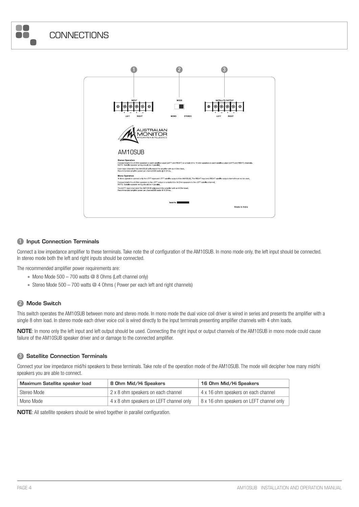



#### **1** Input Connection Terminals

Connect a low impedance amplifier to these terminals. Take note the of configuration of the AM10SUB. In mono mode only, the left input should be connected. In stereo mode both the left and right inputs should be connected.

The recommended amplifier power requirements are:

- Mono Mode  $500 700$  watts @ 8 Ohms (Left channel only)
- Stereo Mode  $500 700$  watts  $@$  4 Ohms (Power per each left and right channels)

#### 2 Mode Switch

This switch operates the AM10SUB between mono and stereo mode. In mono mode the dual voice coil driver is wired in series and presents the amplifier with a single 8 ohm load. In stereo mode each driver voice coil is wired directly to the input terminals presenting amplifier channels with 4 ohm loads.

NOTE: In mono only the left input and left output should be used. Connecting the right input or output channels of the AM10SUB in mono mode could cause failure of the AM10SUB speaker driver and or damage to the connected amplifier.

#### **3** Satellite Connection Terminals

Connect your low impedance mid/hi speakers to these terminals. Take note of the operation mode of the AM10SUB. The mode will decipher how many mid/hi speakers you are able to connect.

| Maximum Satellite speaker load | 8 Ohm Mid/Hi Speakers                   | 16 Ohm Mid/Hi Speakers                   |
|--------------------------------|-----------------------------------------|------------------------------------------|
| Stereo Mode                    | 2 x 8 ohm speakers on each channel      | 4 x 16 ohm speakers on each channel      |
| Mono Mode                      | 4 x 8 ohm speakers on LEFT channel only | 8 x 16 ohm speakers on LEFT channel only |

NOTE: All satellite speakers should be wired together in parallel configuration.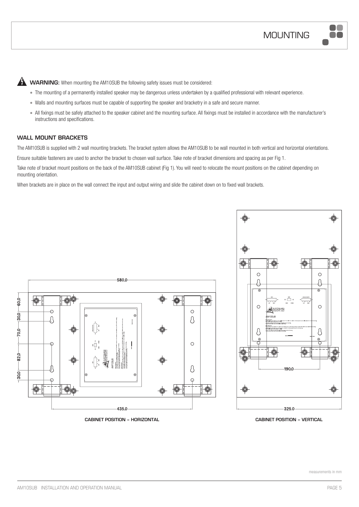00

**A** WARNING: When mounting the AM10SUB the following safety issues must be considered:

- The mounting of a permanently installed speaker may be dangerous unless undertaken by a qualified professional with relevant experience.
- Walls and mounting surfaces must be capable of supporting the speaker and bracketry in a safe and secure manner.
- • All fixings must be safely attached to the speaker cabinet and the mounting surface. All fixings must be installed in accordance with the manufacturer's instructions and specifications.

#### WALL MOUNT BRACKETS

The AM10SUB is supplied with 2 wall mounting brackets. The bracket system allows the AM10SUB to be wall mounted in both vertical and horizontal orientations.

Ensure suitable fasteners are used to anchor the bracket to chosen wall surface. Take note of bracket dimensions and spacing as per Fig 1.

Take note of bracket mount positions on the back of the AM10SUB cabinet (Fig 1). You will need to relocate the mount positions on the cabinet depending on mounting orientation.

When brackets are in place on the wall connect the input and output wiring and slide the cabinet down on to fixed wall brackets.



**CABINET POSITION – HORIZONTAL CABINET POSITION – VERTICAL**

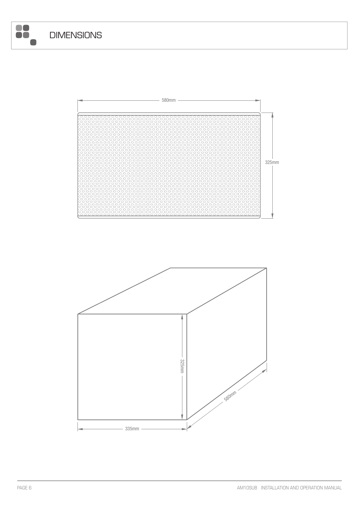8

 $\blacksquare$ 



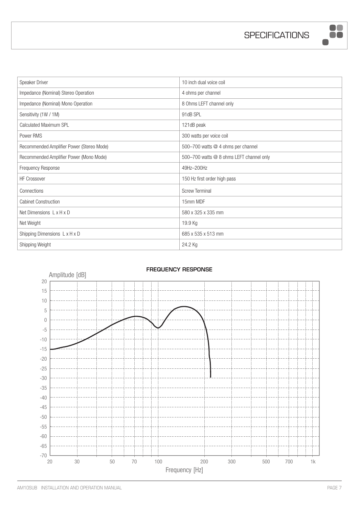**SPECIFICATIONS** 

8

 $\blacksquare$ 

| Speaker Driver                            | 10 inch dual voice coil                  |
|-------------------------------------------|------------------------------------------|
| Impedance (Nominal) Stereo Operation      | 4 ohms per channel                       |
| Impedance (Nominal) Mono Operation        | 8 Ohms LEFT channel only                 |
| Sensitivity (1W / 1M)                     | 91dB SPL                                 |
| Calculated Maximum SPL                    | 121dB peak                               |
| Power RMS                                 | 300 watts per voice coil                 |
| Recommended Amplifier Power (Stereo Mode) | 500-700 watts @ 4 ohms per channel       |
| Recommended Amplifier Power (Mono Mode)   | 500-700 watts @ 8 ohms LEFT channel only |
| Frequency Response                        | 49Hz-200Hz                               |
| HF Crossover                              | 150 Hz first order high pass             |
| Connections                               | <b>Screw Terminal</b>                    |
| <b>Cabinet Construction</b>               | 15mm MDF                                 |
| Net Dimensions L x H x D                  | 580 x 325 x 335 mm                       |
| Net Weight                                | 19.9 Kg                                  |
| Shipping Dimensions L x H x D             | 685 x 535 x 513 mm                       |
| Shipping Weight                           | 24.2 Kg                                  |



### AM10SUB INSTALLATION AND OPERATION MANUAL **PAGE 7**